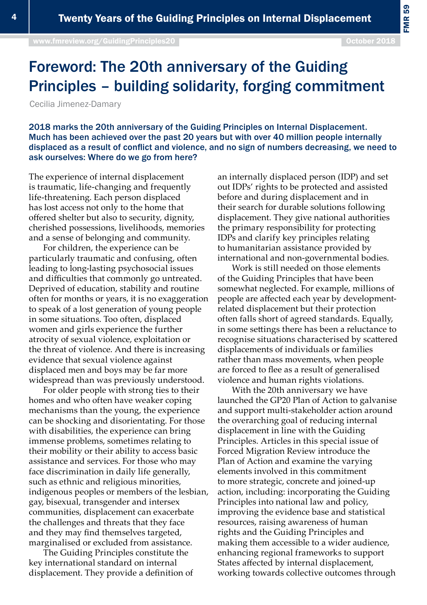[www.fmreview.org/GuidingPrinciples20](http://www.fmreview.org/dayton20
)

FMR 59

## Foreword: The 20th anniversary of the Guiding Principles – building solidarity, forging commitment

Cecilia Jimenez-Damary

2018 marks the 20th anniversary of the Guiding Principles on Internal Displacement. Much has been achieved over the past 20 years but with over 40 million people internally displaced as a result of conflict and violence, and no sign of numbers decreasing, we need to ask ourselves: Where do we go from here?

The experience of internal displacement is traumatic, life-changing and frequently life-threatening. Each person displaced has lost access not only to the home that offered shelter but also to security, dignity, cherished possessions, livelihoods, memories and a sense of belonging and community.

For children, the experience can be particularly traumatic and confusing, often leading to long-lasting psychosocial issues and difficulties that commonly go untreated. Deprived of education, stability and routine often for months or years, it is no exaggeration to speak of a lost generation of young people in some situations. Too often, displaced women and girls experience the further atrocity of sexual violence, exploitation or the threat of violence. And there is increasing evidence that sexual violence against displaced men and boys may be far more widespread than was previously understood.

For older people with strong ties to their homes and who often have weaker coping mechanisms than the young, the experience can be shocking and disorientating. For those with disabilities, the experience can bring immense problems, sometimes relating to their mobility or their ability to access basic assistance and services. For those who may face discrimination in daily life generally, such as ethnic and religious minorities, indigenous peoples or members of the lesbian, gay, bisexual, transgender and intersex communities, displacement can exacerbate the challenges and threats that they face and they may find themselves targeted, marginalised or excluded from assistance.

The Guiding Principles constitute the key international standard on internal displacement. They provide a definition of an internally displaced person (IDP) and set out IDPs' rights to be protected and assisted before and during displacement and in their search for durable solutions following displacement. They give national authorities the primary responsibility for protecting IDPs and clarify key principles relating to humanitarian assistance provided by international and non-governmental bodies.

Work is still needed on those elements of the Guiding Principles that have been somewhat neglected. For example, millions of people are affected each year by developmentrelated displacement but their protection often falls short of agreed standards. Equally, in some settings there has been a reluctance to recognise situations characterised by scattered displacements of individuals or families rather than mass movements, when people are forced to flee as a result of generalised violence and human rights violations.

With the 20th anniversary we have launched the GP20 Plan of Action to galvanise and support multi-stakeholder action around the overarching goal of reducing internal displacement in line with the Guiding Principles. Articles in this special issue of Forced Migration Review introduce the Plan of Action and examine the varying elements involved in this commitment to more strategic, concrete and joined-up action, including: incorporating the Guiding Principles into national law and policy, improving the evidence base and statistical resources, raising awareness of human rights and the Guiding Principles and making them accessible to a wider audience, enhancing regional frameworks to support States affected by internal displacement, working towards collective outcomes through